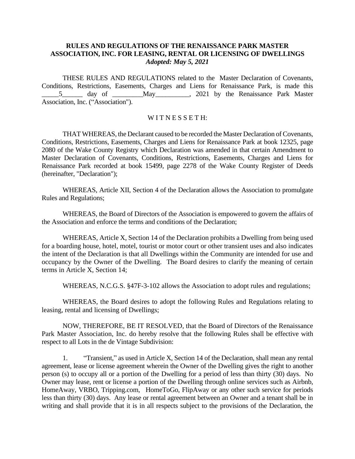## **RULES AND REGULATIONS OF THE RENAISSANCE PARK MASTER ASSOCIATION, INC. FOR LEASING, RENTAL OR LICENSING OF DWELLINGS** *Adopted: May 5, 2021*

THESE RULES AND REGULATIONS related to the Master Declaration of Covenants, Conditions, Restrictions, Easements, Charges and Liens for Renaissance Park, is made this \_\_\_\_\_5\_\_\_\_\_\_ day of \_\_\_\_\_\_\_\_\_May\_\_\_\_\_\_\_\_\_\_, 2021 by the Renaissance Park Master Association, Inc. ("Association").

## WITNESSETH:

THAT WHEREAS, the Declarant caused to be recorded the Master Declaration of Covenants, Conditions, Restrictions, Easements, Charges and Liens for Renaissance Park at book 12325, page 2080 of the Wake County Registry which Declaration was amended in that certain Amendment to Master Declaration of Covenants, Conditions, Restrictions, Easements, Charges and Liens for Renaissance Park recorded at book 15499, page 2278 of the Wake County Register of Deeds (hereinafter, "Declaration");

WHEREAS, Article XII, Section 4 of the Declaration allows the Association to promulgate Rules and Regulations;

WHEREAS, the Board of Directors of the Association is empowered to govern the affairs of the Association and enforce the terms and conditions of the Declaration;

WHEREAS, Article X, Section 14 of the Declaration prohibits a Dwelling from being used for a boarding house, hotel, motel, tourist or motor court or other transient uses and also indicates the intent of the Declaration is that all Dwellings within the Community are intended for use and occupancy by the Owner of the Dwelling. The Board desires to clarify the meaning of certain terms in Article X, Section 14;

WHEREAS, N.C.G.S. §47F-3-102 allows the Association to adopt rules and regulations;

WHEREAS, the Board desires to adopt the following Rules and Regulations relating to leasing, rental and licensing of Dwellings;

NOW, THEREFORE, BE IT RESOLVED, that the Board of Directors of the Renaissance Park Master Association, Inc. do hereby resolve that the following Rules shall be effective with respect to all Lots in the de Vintage Subdivision:

1. "Transient," as used in Article X, Section 14 of the Declaration, shall mean any rental agreement, lease or license agreement wherein the Owner of the Dwelling gives the right to another person (s) to occupy all or a portion of the Dwelling for a period of less than thirty (30) days. No Owner may lease, rent or license a portion of the Dwelling through online services such as Airbnb, HomeAway, VRBO, Tripping.com, HomeToGo, FlipAway or any other such service for periods less than thirty (30) days. Any lease or rental agreement between an Owner and a tenant shall be in writing and shall provide that it is in all respects subject to the provisions of the Declaration, the